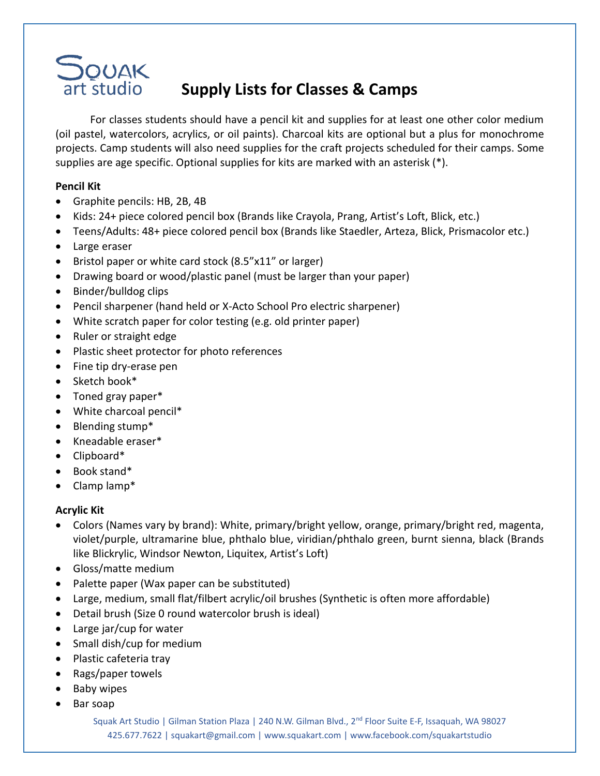

# **Supply Lists for Classes & Camps**

For classes students should have a pencil kit and supplies for at least one other color medium (oil pastel, watercolors, acrylics, or oil paints). Charcoal kits are optional but a plus for monochrome projects. Camp students will also need supplies for the craft projects scheduled for their camps. Some supplies are age specific. Optional supplies for kits are marked with an asterisk (\*).

### **Pencil Kit**

- Graphite pencils: HB, 2B, 4B
- Kids: 24+ piece colored pencil box (Brands like Crayola, Prang, Artist's Loft, Blick, etc.)
- Teens/Adults: 48+ piece colored pencil box (Brands like Staedler, Arteza, Blick, Prismacolor etc.)
- Large eraser
- Bristol paper or white card stock (8.5"x11" or larger)
- Drawing board or wood/plastic panel (must be larger than your paper)
- Binder/bulldog clips
- Pencil sharpener (hand held or X-Acto School Pro electric sharpener)
- White scratch paper for color testing (e.g. old printer paper)
- Ruler or straight edge
- Plastic sheet protector for photo references
- Fine tip dry-erase pen
- Sketch book\*
- Toned gray paper\*
- White charcoal pencil\*
- Blending stump\*
- Kneadable eraser\*
- Clipboard\*
- Book stand\*
- Clamp lamp\*

## **Acrylic Kit**

- Colors (Names vary by brand): White, primary/bright yellow, orange, primary/bright red, magenta, violet/purple, ultramarine blue, phthalo blue, viridian/phthalo green, burnt sienna, black (Brands like Blickrylic, Windsor Newton, Liquitex, Artist's Loft)
- Gloss/matte medium
- Palette paper (Wax paper can be substituted)
- Large, medium, small flat/filbert acrylic/oil brushes (Synthetic is often more affordable)
- Detail brush (Size 0 round watercolor brush is ideal)
- Large jar/cup for water
- Small dish/cup for medium
- Plastic cafeteria tray
- Rags/paper towels
- Baby wipes
- Bar soap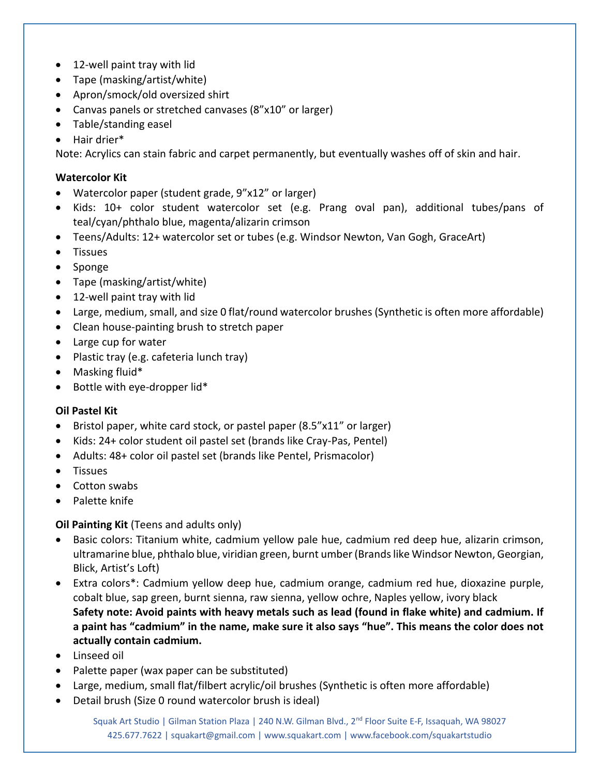- 12-well paint tray with lid
- Tape (masking/artist/white)
- Apron/smock/old oversized shirt
- Canvas panels or stretched canvases (8"x10" or larger)
- Table/standing easel
- Hair drier\*

Note: Acrylics can stain fabric and carpet permanently, but eventually washes off of skin and hair.

#### **Watercolor Kit**

- Watercolor paper (student grade, 9"x12" or larger)
- Kids: 10+ color student watercolor set (e.g. Prang oval pan), additional tubes/pans of teal/cyan/phthalo blue, magenta/alizarin crimson
- Teens/Adults: 12+ watercolor set or tubes (e.g. Windsor Newton, Van Gogh, GraceArt)
- Tissues
- Sponge
- Tape (masking/artist/white)
- 12-well paint tray with lid
- Large, medium, small, and size 0 flat/round watercolor brushes (Synthetic is often more affordable)
- Clean house-painting brush to stretch paper
- Large cup for water
- Plastic tray (e.g. cafeteria lunch tray)
- Masking fluid\*
- Bottle with eye-dropper lid\*

#### **Oil Pastel Kit**

- Bristol paper, white card stock, or pastel paper (8.5"x11" or larger)
- Kids: 24+ color student oil pastel set (brands like Cray-Pas, Pentel)
- Adults: 48+ color oil pastel set (brands like Pentel, Prismacolor)
- Tissues
- Cotton swabs
- Palette knife

#### **Oil Painting Kit** (Teens and adults only)

- Basic colors: Titanium white, cadmium yellow pale hue, cadmium red deep hue, alizarin crimson, ultramarine blue, phthalo blue, viridian green, burnt umber (Brands like Windsor Newton, Georgian, Blick, Artist's Loft)
- Extra colors\*: Cadmium yellow deep hue, cadmium orange, cadmium red hue, dioxazine purple, cobalt blue, sap green, burnt sienna, raw sienna, yellow ochre, Naples yellow, ivory black **Safety note: Avoid paints with heavy metals such as lead (found in flake white) and cadmium. If a paint has "cadmium" in the name, make sure it also says "hue". This means the color does not actually contain cadmium.**
- Linseed oil
- Palette paper (wax paper can be substituted)
- Large, medium, small flat/filbert acrylic/oil brushes (Synthetic is often more affordable)
- Detail brush (Size 0 round watercolor brush is ideal)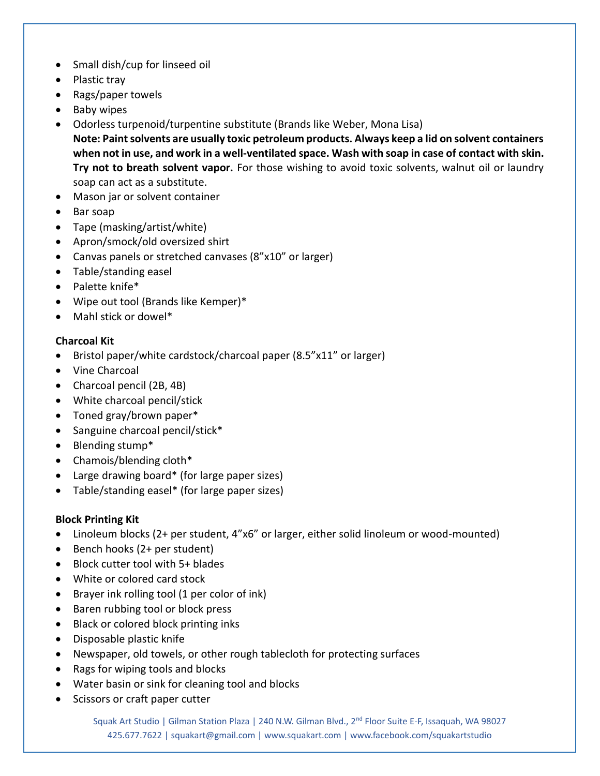- Small dish/cup for linseed oil
- Plastic tray
- Rags/paper towels
- Baby wipes
- Odorless turpenoid/turpentine substitute (Brands like Weber, Mona Lisa) **Note: Paint solvents are usually toxic petroleum products. Always keep a lid on solvent containers when not in use, and work in a well-ventilated space. Wash with soap in case of contact with skin. Try not to breath solvent vapor.** For those wishing to avoid toxic solvents, walnut oil or laundry soap can act as a substitute.
- Mason jar or solvent container
- Bar soap
- Tape (masking/artist/white)
- Apron/smock/old oversized shirt
- Canvas panels or stretched canvases (8"x10" or larger)
- Table/standing easel
- Palette knife\*
- Wipe out tool (Brands like Kemper)\*
- Mahl stick or dowel\*

## **Charcoal Kit**

- Bristol paper/white cardstock/charcoal paper (8.5"x11" or larger)
- Vine Charcoal
- Charcoal pencil (2B, 4B)
- White charcoal pencil/stick
- Toned gray/brown paper\*
- Sanguine charcoal pencil/stick\*
- Blending stump\*
- Chamois/blending cloth\*
- Large drawing board\* (for large paper sizes)
- Table/standing easel\* (for large paper sizes)

## **Block Printing Kit**

- Linoleum blocks (2+ per student, 4"x6" or larger, either solid linoleum or wood-mounted)
- Bench hooks (2+ per student)
- Block cutter tool with 5+ blades
- White or colored card stock
- Brayer ink rolling tool (1 per color of ink)
- Baren rubbing tool or block press
- Black or colored block printing inks
- Disposable plastic knife
- Newspaper, old towels, or other rough tablecloth for protecting surfaces
- Rags for wiping tools and blocks
- Water basin or sink for cleaning tool and blocks
- Scissors or craft paper cutter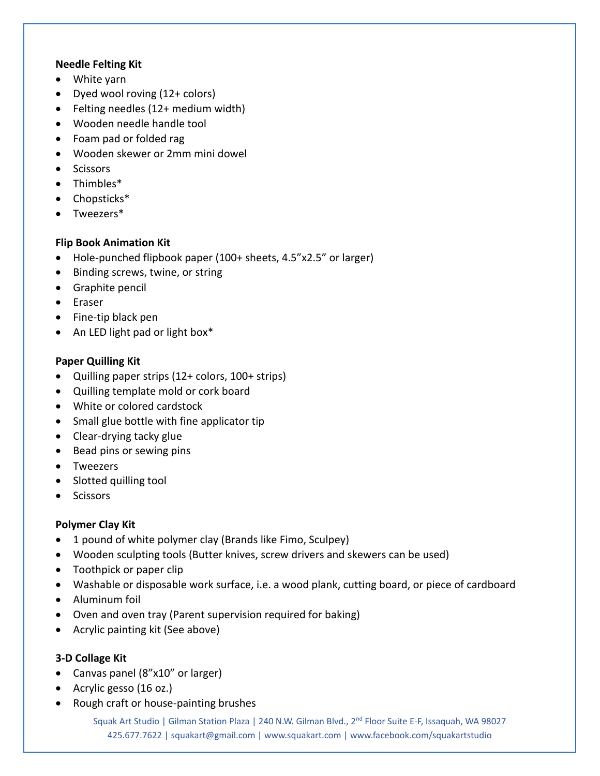#### **Needle Felting Kit**

- White yarn
- Dyed wool roving (12+ colors)
- Felting needles (12+ medium width)
- Wooden needle handle tool
- Foam pad or folded rag
- Wooden skewer or 2mm mini dowel
- Scissors
- Thimbles\*
- Chopsticks\*
- Tweezers\*

## **Flip Book Animation Kit**

- Hole-punched flipbook paper (100+ sheets, 4.5"x2.5" or larger)
- Binding screws, twine, or string
- Graphite pencil
- Eraser
- Fine-tip black pen
- An LED light pad or light box\*

## **Paper Quilling Kit**

- Quilling paper strips (12+ colors, 100+ strips)
- Quilling template mold or cork board
- White or colored cardstock
- Small glue bottle with fine applicator tip
- Clear-drying tacky glue
- Bead pins or sewing pins
- Tweezers
- Slotted quilling tool
- Scissors

## **Polymer Clay Kit**

- 1 pound of white polymer clay (Brands like Fimo, Sculpey)
- Wooden sculpting tools (Butter knives, screw drivers and skewers can be used)
- Toothpick or paper clip
- Washable or disposable work surface, i.e. a wood plank, cutting board, or piece of cardboard
- Aluminum foil
- Oven and oven tray (Parent supervision required for baking)
- Acrylic painting kit (See above)

## **3-D Collage Kit**

- Canvas panel (8"x10" or larger)
- Acrylic gesso (16 oz.)
- Rough craft or house-painting brushes